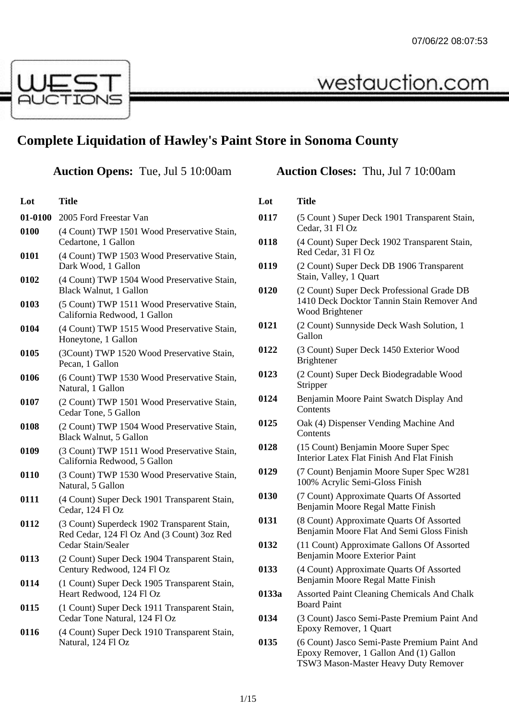westauction.com



## **Complete Liquidation of Hawley's Paint Store in Sonoma County**

## **Auction Opens:** Tue, Jul 5 10:00am **Auction Closes:** Thu, Jul 7 10:00am

| Lot     | <b>Title</b>                                                                                                    |
|---------|-----------------------------------------------------------------------------------------------------------------|
| 01-0100 | 2005 Ford Freestar Van                                                                                          |
| 0100    | (4 Count) TWP 1501 Wood Preservative Stain,<br>Cedartone, 1 Gallon                                              |
| 0101    | (4 Count) TWP 1503 Wood Preservative Stain,<br>Dark Wood, 1 Gallon                                              |
| 0102    | (4 Count) TWP 1504 Wood Preservative Stain,<br>Black Walnut, 1 Gallon                                           |
| 0103    | (5 Count) TWP 1511 Wood Preservative Stain,<br>California Redwood, 1 Gallon                                     |
| 0104    | (4 Count) TWP 1515 Wood Preservative Stain,<br>Honeytone, 1 Gallon                                              |
| 0105    | (3Count) TWP 1520 Wood Preservative Stain,<br>Pecan, 1 Gallon                                                   |
| 0106    | (6 Count) TWP 1530 Wood Preservative Stain,<br>Natural, 1 Gallon                                                |
| 0107    | (2 Count) TWP 1501 Wood Preservative Stain,<br>Cedar Tone, 5 Gallon                                             |
| 0108    | (2 Count) TWP 1504 Wood Preservative Stain,<br>Black Walnut, 5 Gallon                                           |
| 0109    | (3 Count) TWP 1511 Wood Preservative Stain,<br>California Redwood, 5 Gallon                                     |
| 0110    | (3 Count) TWP 1530 Wood Preservative Stain,<br>Natural, 5 Gallon                                                |
| 0111    | (4 Count) Super Deck 1901 Transparent Stain,<br>Cedar, 124 Fl Oz                                                |
| 0112    | (3 Count) Superdeck 1902 Transparent Stain,<br>Red Cedar, 124 Fl Oz And (3 Count) 3oz Red<br>Cedar Stain/Sealer |
| 0113    | (2 Count) Super Deck 1904 Transparent Stain,<br>Century Redwood, 124 Fl Oz                                      |
| 0114    | (1 Count) Super Deck 1905 Transparent Stain,<br>Heart Redwood, 124 Fl Oz                                        |
| 0115    | (1 Count) Super Deck 1911 Transparent Stain,<br>Cedar Tone Natural, 124 Fl Oz                                   |
| 0116    | (4 Count) Super Deck 1910 Transparent Stain,<br>Natural, 124 Fl Oz                                              |

| Lot   | Title                                                                                                       |
|-------|-------------------------------------------------------------------------------------------------------------|
| 0117  | (5 Count) Super Deck 1901 Transparent Stain,<br>Cedar, 31 Fl Oz                                             |
| 0118  | (4 Count) Super Deck 1902 Transparent Stain,<br>Red Cedar, 31 Fl Oz                                         |
| 0119  | (2 Count) Super Deck DB 1906 Transparent<br>Stain, Valley, 1 Quart                                          |
| 0120  | (2 Count) Super Deck Professional Grade DB<br>1410 Deck Docktor Tannin Stain Remover And<br>Wood Brightener |
| 0121  | (2 Count) Sunnyside Deck Wash Solution, 1<br>Gallon                                                         |
| 0122  | (3 Count) Super Deck 1450 Exterior Wood<br><b>Brightener</b>                                                |
| 0123  | (2 Count) Super Deck Biodegradable Wood<br>Stripper                                                         |
| 0124  | Benjamin Moore Paint Swatch Display And<br>Contents                                                         |
| 0125  | Oak (4) Dispenser Vending Machine And<br>Contents                                                           |
| 0128  | (15 Count) Benjamin Moore Super Spec<br>Interior Latex Flat Finish And Flat Finish                          |
| 0129  | (7 Count) Benjamin Moore Super Spec W281<br>100% Acrylic Semi-Gloss Finish                                  |
| 0130  | (7 Count) Approximate Quarts Of Assorted<br>Benjamin Moore Regal Matte Finish                               |
| 0131  | (8 Count) Approximate Quarts Of Assorted<br>Benjamin Moore Flat And Semi Gloss Finish                       |
| 0132  | (11 Count) Approximate Gallons Of Assorted<br>Benjamin Moore Exterior Paint                                 |
| 0133  | (4 Count) Approximate Quarts Of Assorted<br>Benjamin Moore Regal Matte Finish                               |
| 0133a | <b>Assorted Paint Cleaning Chemicals And Chalk</b><br><b>Board Paint</b>                                    |
| 0134  | (3 Count) Jasco Semi-Paste Premium Paint And<br>Epoxy Remover, 1 Quart                                      |
| 0135  | (6 Count) Jasco Semi-Paste Premium Paint And<br>Epoxy Remover, 1 Gallon And (1) Gallon                      |

TSW3 Mason-Master Heavy Duty Remover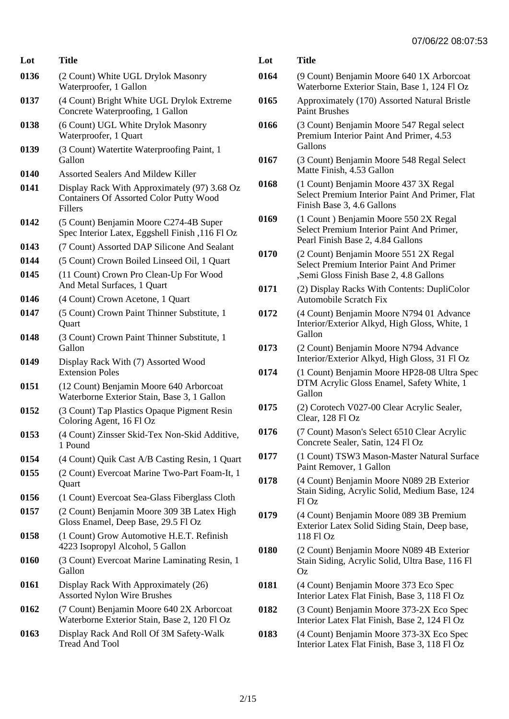| Lot  | Title                                                                                                     | <b>L</b> |
|------|-----------------------------------------------------------------------------------------------------------|----------|
| 0136 | (2 Count) White UGL Drylok Masonry<br>Waterproofer, 1 Gallon                                              | 01       |
| 0137 | (4 Count) Bright White UGL Drylok Extreme<br>Concrete Waterproofing, 1 Gallon                             | 01       |
| 0138 | (6 Count) UGL White Drylok Masonry<br>Waterproofer, 1 Quart                                               | 01       |
| 0139 | (3 Count) Watertite Waterproofing Paint, 1<br>Gallon                                                      | 01       |
| 0140 | <b>Assorted Sealers And Mildew Killer</b>                                                                 |          |
| 0141 | Display Rack With Approximately (97) 3.68 Oz<br><b>Containers Of Assorted Color Putty Wood</b><br>Fillers | 01       |
| 0142 | (5 Count) Benjamin Moore C274-4B Super<br>Spec Interior Latex, Eggshell Finish, 116 Fl Oz                 | 01       |
| 0143 | (7 Count) Assorted DAP Silicone And Sealant                                                               | 01       |
| 0144 | (5 Count) Crown Boiled Linseed Oil, 1 Quart                                                               |          |
| 0145 | (11 Count) Crown Pro Clean-Up For Wood<br>And Metal Surfaces, 1 Quart                                     | 01       |
| 0146 | (4 Count) Crown Acetone, 1 Quart                                                                          |          |
| 0147 | (5 Count) Crown Paint Thinner Substitute, 1<br>Quart                                                      | 01       |
| 0148 | (3 Count) Crown Paint Thinner Substitute, 1<br>Gallon                                                     | 01       |
| 0149 | Display Rack With (7) Assorted Wood<br><b>Extension Poles</b>                                             | 01       |
| 0151 | (12 Count) Benjamin Moore 640 Arborcoat<br>Waterborne Exterior Stain, Base 3, 1 Gallon                    |          |
| 0152 | (3 Count) Tap Plastics Opaque Pigment Resin<br>Coloring Agent, 16 Fl Oz                                   | 01       |
| 0153 | (4 Count) Zinsser Skid-Tex Non-Skid Additive,<br>1 Pound                                                  | 01       |
| 0154 | (4 Count) Quik Cast A/B Casting Resin, 1 Quart                                                            | 01       |
| 0155 | (2 Count) Evercoat Marine Two-Part Foam-It, 1<br>Quart                                                    | 01       |
| 0156 | (1 Count) Evercoat Sea-Glass Fiberglass Cloth                                                             |          |
| 0157 | (2 Count) Benjamin Moore 309 3B Latex High<br>Gloss Enamel, Deep Base, 29.5 Fl Oz                         | 01       |
| 0158 | (1 Count) Grow Automotive H.E.T. Refinish<br>4223 Isopropyl Alcohol, 5 Gallon                             | 01       |
| 0160 | (3 Count) Evercoat Marine Laminating Resin, 1<br>Gallon                                                   |          |
| 0161 | Display Rack With Approximately (26)<br><b>Assorted Nylon Wire Brushes</b>                                | 01       |
| 0162 | (7 Count) Benjamin Moore 640 2X Arborcoat<br>Waterborne Exterior Stain, Base 2, 120 Fl Oz                 | 01       |
| 0163 | Display Rack And Roll Of 3M Safety-Walk<br><b>Tread And Tool</b>                                          | 01       |

| Lot  | Title                                                                                                                              |
|------|------------------------------------------------------------------------------------------------------------------------------------|
| 0164 | (9 Count) Benjamin Moore 640 1X Arborcoat<br>Waterborne Exterior Stain, Base 1, 124 Fl Oz                                          |
| 0165 | Approximately (170) Assorted Natural Bristle<br><b>Paint Brushes</b>                                                               |
| 0166 | (3 Count) Benjamin Moore 547 Regal select<br>Premium Interior Paint And Primer, 4.53<br>Gallons                                    |
| 0167 | (3 Count) Benjamin Moore 548 Regal Select<br>Matte Finish, 4.53 Gallon                                                             |
| 0168 | (1 Count) Benjamin Moore 437 3X Regal<br>Select Premium Interior Paint And Primer, Flat<br>Finish Base 3, 4.6 Gallons              |
| 0169 | (1 Count) Benjamin Moore 550 2X Regal<br>Select Premium Interior Paint And Primer,<br>Pearl Finish Base 2, 4.84 Gallons            |
| 0170 | (2 Count) Benjamin Moore 551 2X Regal<br><b>Select Premium Interior Paint And Primer</b><br>"Semi Gloss Finish Base 2, 4.8 Gallons |
| 0171 | (2) Display Racks With Contents: DupliColor<br><b>Automobile Scratch Fix</b>                                                       |
| 0172 | (4 Count) Benjamin Moore N794 01 Advance<br>Interior/Exterior Alkyd, High Gloss, White, 1<br>Gallon                                |
| 0173 | (2 Count) Benjamin Moore N794 Advance<br>Interior/Exterior Alkyd, High Gloss, 31 Fl Oz                                             |
| 0174 | (1 Count) Benjamin Moore HP28-08 Ultra Spec<br>DTM Acrylic Gloss Enamel, Safety White, 1<br>Gallon                                 |
| 0175 | (2) Corotech V027-00 Clear Acrylic Sealer,<br>Clear, 128 Fl Oz                                                                     |
| 0176 | (7 Count) Mason's Select 6510 Clear Acrylic<br>Concrete Sealer, Satin, 124 Fl Oz                                                   |
| 0177 | (1 Count) TSW3 Mason-Master Natural Surface<br>Paint Remover, 1 Gallon                                                             |
| 0178 | (4 Count) Benjamin Moore N089 2B Exterior<br>Stain Siding, Acrylic Solid, Medium Base, 124<br>Fl Oz                                |
| 0179 | (4 Count) Benjamin Moore 089 3B Premium<br>Exterior Latex Solid Siding Stain, Deep base,<br>118 Fl Oz                              |
| 0180 | (2 Count) Benjamin Moore N089 4B Exterior<br>Stain Siding, Acrylic Solid, Ultra Base, 116 Fl<br>Oz.                                |
| 0181 | (4 Count) Benjamin Moore 373 Eco Spec<br>Interior Latex Flat Finish, Base 3, 118 Fl Oz                                             |
| 0182 | (3 Count) Benjamin Moore 373-2X Eco Spec<br>Interior Latex Flat Finish, Base 2, 124 Fl Oz                                          |
| 0183 | (4 Count) Benjamin Moore 373-3X Eco Spec<br>Interior Latex Flat Finish, Base 3, 118 Fl Oz                                          |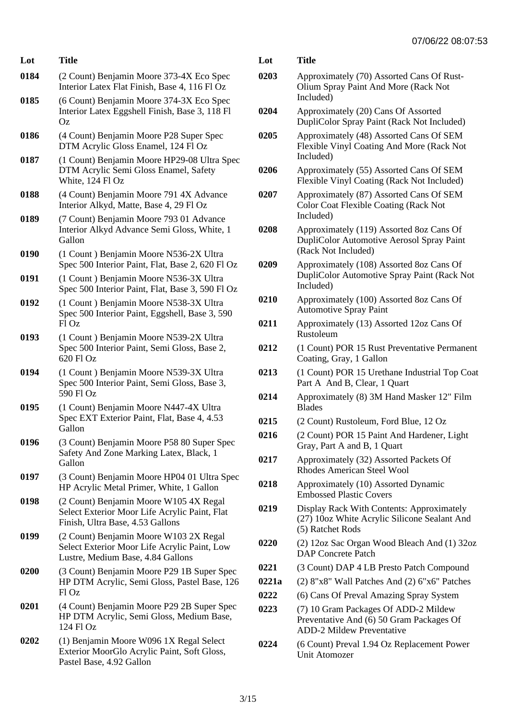| Lot  | <b>Title</b>                                                                                                                |
|------|-----------------------------------------------------------------------------------------------------------------------------|
| 0184 | (2 Count) Benjamin Moore 373-4X Eco Spec<br>Interior Latex Flat Finish, Base 4, 116 Fl Oz                                   |
| 0185 | (6 Count) Benjamin Moore 374-3X Eco Spec<br>Interior Latex Eggshell Finish, Base 3, 118 Fl<br>Oz                            |
| 0186 | (4 Count) Benjamin Moore P28 Super Spec<br>DTM Acrylic Gloss Enamel, 124 Fl Oz                                              |
| 0187 | (1 Count) Benjamin Moore HP29-08 Ultra Spec<br>DTM Acrylic Semi Gloss Enamel, Safety<br>White, 124 Fl Oz                    |
| 0188 | (4 Count) Benjamin Moore 791 4X Advance<br>Interior Alkyd, Matte, Base 4, 29 Fl Oz                                          |
| 0189 | (7 Count) Benjamin Moore 793 01 Advance<br>Interior Alkyd Advance Semi Gloss, White, 1<br>Gallon                            |
| 0190 | (1 Count) Benjamin Moore N536-2X Ultra<br>Spec 500 Interior Paint, Flat, Base 2, 620 Fl Oz                                  |
| 0191 | (1 Count) Benjamin Moore N536-3X Ultra<br>Spec 500 Interior Paint, Flat, Base 3, 590 Fl Oz                                  |
| 0192 | (1 Count) Benjamin Moore N538-3X Ultra<br>Spec 500 Interior Paint, Eggshell, Base 3, 590<br>Fl Oz                           |
| 0193 | (1 Count) Benjamin Moore N539-2X Ultra<br>Spec 500 Interior Paint, Semi Gloss, Base 2,<br>620 FI Oz                         |
| 0194 | (1 Count) Benjamin Moore N539-3X Ultra<br>Spec 500 Interior Paint, Semi Gloss, Base 3,<br>590 Fl Oz                         |
| 0195 | (1 Count) Benjamin Moore N447-4X Ultra<br>Spec EXT Exterior Paint, Flat, Base 4, 4.53<br>Gallon                             |
| 0196 | (3 Count) Benjamin Moore P58 80 Super Spec<br>Safety And Zone Marking Latex, Black, 1<br>Gallon                             |
| 0197 | (3 Count) Benjamin Moore HP04 01 Ultra Spec<br>HP Acrylic Metal Primer, White, 1 Gallon                                     |
| 0198 | (2 Count) Benjamin Moore W105 4X Regal<br>Select Exterior Moor Life Acrylic Paint, Flat<br>Finish, Ultra Base, 4.53 Gallons |
| 0199 | (2 Count) Benjamin Moore W103 2X Regal<br>Select Exterior Moor Life Acrylic Paint, Low<br>Lustre, Medium Base, 4.84 Gallons |
| 0200 | (3 Count) Benjamin Moore P29 1B Super Spec<br>HP DTM Acrylic, Semi Gloss, Pastel Base, 126<br>Fl Oz                         |
| 0201 | (4 Count) Benjamin Moore P29 2B Super Spec<br>HP DTM Acrylic, Semi Gloss, Medium Base,<br>124 Fl Oz                         |
| 0202 | (1) Benjamin Moore W096 1X Regal Select<br>Exterior MoorGlo Acrylic Paint, Soft Gloss,<br>Pastel Base, 4.92 Gallon          |
|      |                                                                                                                             |

| Lot   | Title                                                                                                                |
|-------|----------------------------------------------------------------------------------------------------------------------|
| 0203  | Approximately (70) Assorted Cans Of Rust-<br>Olium Spray Paint And More (Rack Not<br>Included)                       |
| 0204  | Approximately (20) Cans Of Assorted<br>DupliColor Spray Paint (Rack Not Included)                                    |
| 0205  | Approximately (48) Assorted Cans Of SEM<br>Flexible Vinyl Coating And More (Rack Not<br>Included)                    |
| 0206  | Approximately (55) Assorted Cans Of SEM<br>Flexible Vinyl Coating (Rack Not Included)                                |
| 0207  | Approximately (87) Assorted Cans Of SEM<br><b>Color Coat Flexible Coating (Rack Not</b><br>Included)                 |
| 0208  | Approximately (119) Assorted 8oz Cans Of<br>DupliColor Automotive Aerosol Spray Paint<br>(Rack Not Included)         |
| 0209  | Approximately (108) Assorted 8oz Cans Of<br>DupliColor Automotive Spray Paint (Rack Not<br>Included)                 |
| 0210  | Approximately (100) Assorted 8oz Cans Of<br><b>Automotive Spray Paint</b>                                            |
| 0211  | Approximately (13) Assorted 12oz Cans Of<br>Rustoleum                                                                |
| 0212  | (1 Count) POR 15 Rust Preventative Permanent<br>Coating, Gray, 1 Gallon                                              |
| 0213  | (1 Count) POR 15 Urethane Industrial Top Coat<br>Part A And B, Clear, 1 Quart                                        |
| 0214  | Approximately (8) 3M Hand Masker 12" Film<br><b>Blades</b>                                                           |
| 0215  | (2 Count) Rustoleum, Ford Blue, 12 Oz                                                                                |
| 0216  | (2 Count) POR 15 Paint And Hardener, Light<br>Gray, Part A and B, 1 Quart                                            |
| 0217  | Approximately (32) Assorted Packets Of<br><b>Rhodes American Steel Wool</b>                                          |
| 0218  | Approximately (10) Assorted Dynamic<br><b>Embossed Plastic Covers</b>                                                |
| 0219  | Display Rack With Contents: Approximately<br>(27) 10oz White Acrylic Silicone Sealant And<br>(5) Ratchet Rods        |
| 0220  | (2) 12oz Sac Organ Wood Bleach And (1) 32oz<br><b>DAP</b> Concrete Patch                                             |
| 0221  | (3 Count) DAP 4 LB Presto Patch Compound                                                                             |
| 0221a | (2) 8"x8" Wall Patches And (2) 6"x6" Patches                                                                         |
| 0222  | (6) Cans Of Preval Amazing Spray System                                                                              |
| 0223  | (7) 10 Gram Packages Of ADD-2 Mildew<br>Preventative And (6) 50 Gram Packages Of<br><b>ADD-2 Mildew Preventative</b> |
| 0224  | (6 Count) Preval 1.94 Oz Replacement Power<br>Unit Atomozer                                                          |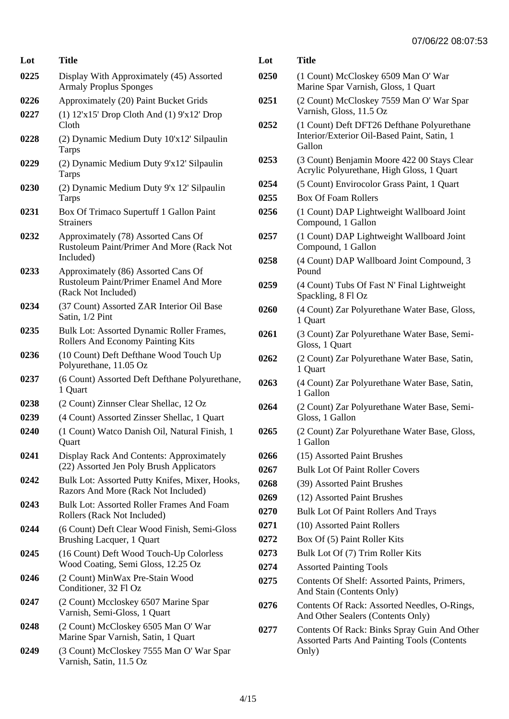| Lot  | Title                                                                                                       |
|------|-------------------------------------------------------------------------------------------------------------|
| 0225 | Display With Approximately (45) Assorted<br><b>Armaly Proplus Sponges</b>                                   |
| 0226 | Approximately (20) Paint Bucket Grids                                                                       |
| 0227 | $(1)$ 12'x15' Drop Cloth And $(1)$ 9'x12' Drop<br>Cloth                                                     |
| 0228 | (2) Dynamic Medium Duty 10'x12' Silpaulin<br>Tarps                                                          |
| 0229 | (2) Dynamic Medium Duty 9'x12' Silpaulin<br>Tarps                                                           |
| 0230 | (2) Dynamic Medium Duty 9'x 12' Silpaulin<br>Tarps                                                          |
| 0231 | Box Of Trimaco Supertuff 1 Gallon Paint<br><b>Strainers</b>                                                 |
| 0232 | Approximately (78) Assorted Cans Of<br>Rustoleum Paint/Primer And More (Rack Not<br>Included)               |
| 0233 | Approximately (86) Assorted Cans Of<br><b>Rustoleum Paint/Primer Enamel And More</b><br>(Rack Not Included) |
| 0234 | (37 Count) Assorted ZAR Interior Oil Base<br>Satin, 1/2 Pint                                                |
| 0235 | Bulk Lot: Assorted Dynamic Roller Frames,<br>Rollers And Economy Painting Kits                              |
| 0236 | (10 Count) Deft Defthane Wood Touch Up<br>Polyurethane, 11.05 Oz                                            |
| 0237 | (6 Count) Assorted Deft Defthane Polyurethane,<br>1 Quart                                                   |
| 0238 | (2 Count) Zinnser Clear Shellac, 12 Oz                                                                      |
| 0239 | (4 Count) Assorted Zinsser Shellac, 1 Quart                                                                 |
| 0240 | (1 Count) Watco Danish Oil, Natural Finish, 1<br>Quart                                                      |
| 0241 | Display Rack And Contents: Approximately<br>(22) Assorted Jen Poly Brush Applicators                        |
| 0242 | Bulk Lot: Assorted Putty Knifes, Mixer, Hooks,<br>Razors And More (Rack Not Included)                       |
| 0243 | <b>Bulk Lot: Assorted Roller Frames And Foam</b><br>Rollers (Rack Not Included)                             |
| 0244 | (6 Count) Deft Clear Wood Finish, Semi-Gloss<br>Brushing Lacquer, 1 Quart                                   |
| 0245 | (16 Count) Deft Wood Touch-Up Colorless<br>Wood Coating, Semi Gloss, 12.25 Oz                               |
| 0246 | (2 Count) MinWax Pre-Stain Wood<br>Conditioner, 32 Fl Oz                                                    |
| 0247 | (2 Count) Mccloskey 6507 Marine Spar<br>Varnish, Semi-Gloss, 1 Quart                                        |
| 0248 | (2 Count) McCloskey 6505 Man O' War<br>Marine Spar Varnish, Satin, 1 Quart                                  |
| 0249 | (3 Count) McCloskey 7555 Man O' War Spar<br>Varnish, Satin, 11.5 Oz                                         |

| Lot  | <b>Title</b>                                                                                                |
|------|-------------------------------------------------------------------------------------------------------------|
| 0250 | (1 Count) McCloskey 6509 Man O' War<br>Marine Spar Varnish, Gloss, 1 Quart                                  |
| 0251 | (2 Count) McCloskey 7559 Man O' War Spar<br>Varnish, Gloss, 11.5 Oz                                         |
| 0252 | (1 Count) Deft DFT26 Defthane Polyurethane<br>Interior/Exterior Oil-Based Paint, Satin, 1<br>Gallon         |
| 0253 | (3 Count) Benjamin Moore 422 00 Stays Clear<br>Acrylic Polyurethane, High Gloss, 1 Quart                    |
| 0254 | (5 Count) Envirocolor Grass Paint, 1 Quart                                                                  |
| 0255 | <b>Box Of Foam Rollers</b>                                                                                  |
| 0256 | (1 Count) DAP Lightweight Wallboard Joint<br>Compound, 1 Gallon                                             |
| 0257 | (1 Count) DAP Lightweight Wallboard Joint<br>Compound, 1 Gallon                                             |
| 0258 | (4 Count) DAP Wallboard Joint Compound, 3<br>Pound                                                          |
| 0259 | (4 Count) Tubs Of Fast N' Final Lightweight<br>Spackling, 8 Fl Oz                                           |
| 0260 | (4 Count) Zar Polyurethane Water Base, Gloss,<br>1 Quart                                                    |
| 0261 | (3 Count) Zar Polyurethane Water Base, Semi-<br>Gloss, 1 Quart                                              |
| 0262 | (2 Count) Zar Polyurethane Water Base, Satin,<br>1 Quart                                                    |
| 0263 | (4 Count) Zar Polyurethane Water Base, Satin,<br>1 Gallon                                                   |
| 0264 | (2 Count) Zar Polyurethane Water Base, Semi-<br>Gloss, 1 Gallon                                             |
| 0265 | (2 Count) Zar Polyurethane Water Base, Gloss,<br>1 Gallon                                                   |
| 0266 | (15) Assorted Paint Brushes                                                                                 |
| 0267 | <b>Bulk Lot Of Paint Roller Covers</b>                                                                      |
| 0268 | (39) Assorted Paint Brushes                                                                                 |
| 0269 | (12) Assorted Paint Brushes                                                                                 |
| 0270 | <b>Bulk Lot Of Paint Rollers And Trays</b>                                                                  |
| 0271 | (10) Assorted Paint Rollers                                                                                 |
| 0272 | Box Of (5) Paint Roller Kits                                                                                |
| 0273 | Bulk Lot Of (7) Trim Roller Kits                                                                            |
| 0274 | <b>Assorted Painting Tools</b>                                                                              |
| 0275 | Contents Of Shelf: Assorted Paints, Primers,<br>And Stain (Contents Only)                                   |
| 0276 | Contents Of Rack: Assorted Needles, O-Rings,<br>And Other Sealers (Contents Only)                           |
| 0277 | Contents Of Rack: Binks Spray Guin And Other<br><b>Assorted Parts And Painting Tools (Contents</b><br>Only) |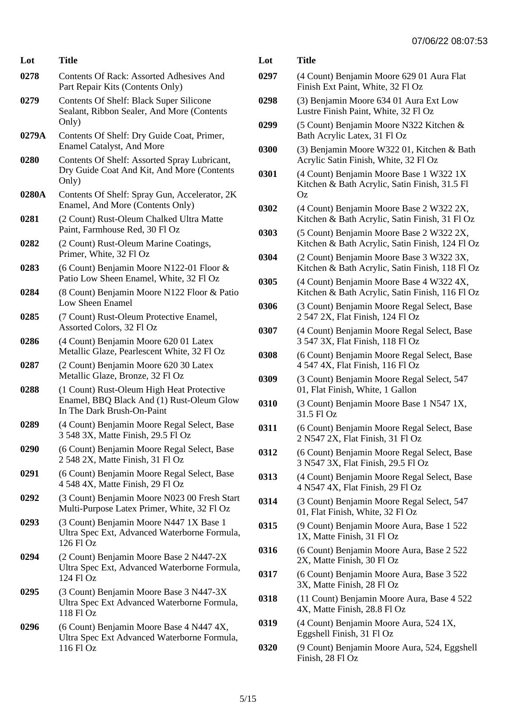| Lot   | L<br>Title                                                                                                                               |
|-------|------------------------------------------------------------------------------------------------------------------------------------------|
| 0278  | $\bf{0}$<br>Contents Of Rack: Assorted Adhesives And<br>Part Repair Kits (Contents Only)                                                 |
| 0279  | $\boldsymbol{0}$<br>Contents Of Shelf: Black Super Silicone<br>Sealant, Ribbon Sealer, And More (Contents<br>Only)<br>0                  |
| 0279A | Contents Of Shelf: Dry Guide Coat, Primer,<br><b>Enamel Catalyst, And More</b><br>$\boldsymbol{0}$                                       |
| 0280  | Contents Of Shelf: Assorted Spray Lubricant,<br>Dry Guide Coat And Kit, And More (Contents<br>0<br>Only)                                 |
| 0280A | Contents Of Shelf: Spray Gun, Accelerator, 2K<br>Enamel, And More (Contents Only)<br>$\boldsymbol{0}$                                    |
| 0281  | (2 Count) Rust-Oleum Chalked Ultra Matte<br>Paint, Farmhouse Red, 30 Fl Oz<br>0                                                          |
| 0282  | (2 Count) Rust-Oleum Marine Coatings,<br>Primer, White, 32 Fl Oz<br>0                                                                    |
| 0283  | (6 Count) Benjamin Moore N122-01 Floor &<br>Patio Low Sheen Enamel, White, 32 Fl Oz<br>$\boldsymbol{0}$                                  |
| 0284  | (8 Count) Benjamin Moore N122 Floor & Patio<br>Low Sheen Enamel<br>0                                                                     |
| 0285  | (7 Count) Rust-Oleum Protective Enamel,<br>Assorted Colors, 32 Fl Oz<br>$\boldsymbol{0}$                                                 |
| 0286  | (4 Count) Benjamin Moore 620 01 Latex<br>Metallic Glaze, Pearlescent White, 32 Fl Oz<br>0                                                |
| 0287  | (2 Count) Benjamin Moore 620 30 Latex<br>Metallic Glaze, Bronze, 32 Fl Oz<br>$\boldsymbol{0}$                                            |
| 0288  | (1 Count) Rust-Oleum High Heat Protective<br>Enamel, BBQ Black And (1) Rust-Oleum Glow<br>$\boldsymbol{0}$<br>In The Dark Brush-On-Paint |
| 0289  | (4 Count) Benjamin Moore Regal Select, Base<br>0<br>3 548 3X, Matte Finish, 29.5 Fl Oz                                                   |
| 0290  | (6 Count) Benjamin Moore Regal Select, Base<br>$\boldsymbol{0}$<br>2 548 2X, Matte Finish, 31 Fl Oz                                      |
| 0291  | (6 Count) Benjamin Moore Regal Select, Base<br>0<br>4 548 4X, Matte Finish, 29 Fl Oz                                                     |
| 0292  | (3 Count) Benjamin Moore N023 00 Fresh Start<br>$\bf{0}$<br>Multi-Purpose Latex Primer, White, 32 Fl Oz                                  |
| 0293  | (3 Count) Benjamin Moore N447 1X Base 1<br>0<br>Ultra Spec Ext, Advanced Waterborne Formula,<br>126 Fl Oz                                |
| 0294  | 0<br>(2 Count) Benjamin Moore Base 2 N447-2X<br>Ultra Spec Ext, Advanced Waterborne Formula,<br>0<br>124 Fl Oz                           |
| 0295  | (3 Count) Benjamin Moore Base 3 N447-3X<br>0<br>Ultra Spec Ext Advanced Waterborne Formula,<br>118 Fl Oz                                 |
| 0296  | 0<br>(6 Count) Benjamin Moore Base 4 N447 4X,<br>Ultra Spec Ext Advanced Waterborne Formula,<br>116 Fl Oz<br>$\boldsymbol{0}$            |

| Lot  | <b>Title</b>                                                                                   |
|------|------------------------------------------------------------------------------------------------|
| 0297 | (4 Count) Benjamin Moore 629 01 Aura Flat<br>Finish Ext Paint, White, 32 Fl Oz                 |
| 0298 | (3) Benjamin Moore 634 01 Aura Ext Low<br>Lustre Finish Paint, White, 32 Fl Oz                 |
| 0299 | (5 Count) Benjamin Moore N322 Kitchen &<br>Bath Acrylic Latex, 31 Fl Oz                        |
| 0300 | (3) Benjamin Moore W322 01, Kitchen & Bath<br>Acrylic Satin Finish, White, 32 Fl Oz            |
| 0301 | (4 Count) Benjamin Moore Base 1 W322 1X<br>Kitchen & Bath Acrylic, Satin Finish, 31.5 Fl<br>Oz |
| 0302 | (4 Count) Benjamin Moore Base 2 W322 2X,<br>Kitchen & Bath Acrylic, Satin Finish, 31 Fl Oz     |
| 0303 | (5 Count) Benjamin Moore Base 2 W322 2X,<br>Kitchen & Bath Acrylic, Satin Finish, 124 Fl Oz    |
| 0304 | (2 Count) Benjamin Moore Base 3 W322 3X,<br>Kitchen & Bath Acrylic, Satin Finish, 118 Fl Oz    |
| 0305 | (4 Count) Benjamin Moore Base 4 W322 4X,<br>Kitchen & Bath Acrylic, Satin Finish, 116 Fl Oz    |
| 0306 | (3 Count) Benjamin Moore Regal Select, Base<br>2 547 2X, Flat Finish, 124 Fl Oz                |
| 0307 | (4 Count) Benjamin Moore Regal Select, Base<br>3 547 3X, Flat Finish, 118 Fl Oz                |
| 0308 | (6 Count) Benjamin Moore Regal Select, Base<br>4 547 4X, Flat Finish, 116 Fl Oz                |
| 0309 | (3 Count) Benjamin Moore Regal Select, 547<br>01, Flat Finish, White, 1 Gallon                 |
| 0310 | (3 Count) Benjamin Moore Base 1 N547 1X,<br>31.5 Fl Oz                                         |
| 0311 | (6 Count) Benjamin Moore Regal Select, Base<br>2 N547 2X, Flat Finish, 31 Fl Oz                |
| 0312 | (6 Count) Benjamin Moore Regal Select, Base<br>3 N547 3X, Flat Finish, 29.5 Fl Oz              |
| 0313 | (4 Count) Benjamin Moore Regal Select, Base<br>4 N547 4X, Flat Finish, 29 Fl Oz                |
| 0314 | (3 Count) Benjamin Moore Regal Select, 547<br>01, Flat Finish, White, 32 Fl Oz                 |
| 0315 | (9 Count) Benjamin Moore Aura, Base 1 522<br>1X, Matte Finish, 31 Fl Oz                        |
| 0316 | (6 Count) Benjamin Moore Aura, Base 2 522<br>2X, Matte Finish, 30 Fl Oz                        |
| 0317 | (6 Count) Benjamin Moore Aura, Base 3 522<br>3X, Matte Finish, 28 Fl Oz                        |
| 0318 | (11 Count) Benjamin Moore Aura, Base 4 522<br>4X, Matte Finish, 28.8 Fl Oz                     |
| 0319 | (4 Count) Benjamin Moore Aura, 524 1X,<br>Eggshell Finish, 31 Fl Oz                            |
| 0320 | (9 Count) Benjamin Moore Aura, 524, Eggshell<br>Finish, 28 Fl Oz                               |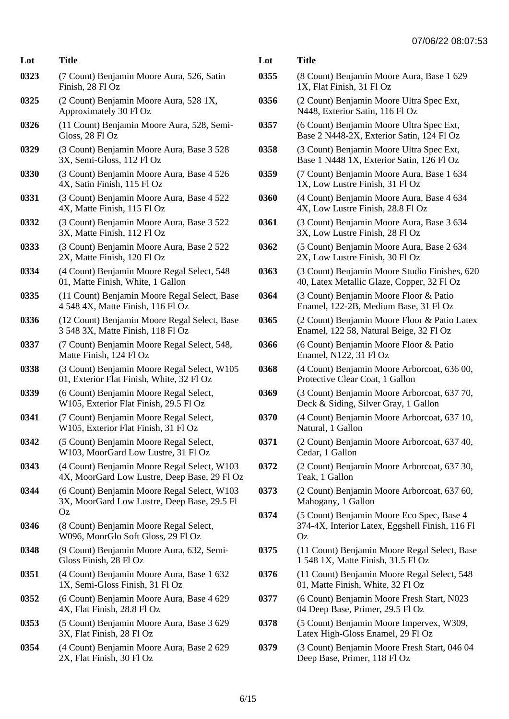| Lot  | Title                                                                                            | L                                    |
|------|--------------------------------------------------------------------------------------------------|--------------------------------------|
| 0323 | (7 Count) Benjamin Moore Aura, 526, Satin<br>Finish, 28 Fl Oz                                    | $\boldsymbol{0}$                     |
| 0325 | (2 Count) Benjamin Moore Aura, 528 1X,<br>Approximately 30 Fl Oz                                 | $\boldsymbol{0}$                     |
| 0326 | (11 Count) Benjamin Moore Aura, 528, Semi-<br>Gloss, 28 Fl Oz                                    | 0                                    |
| 0329 | (3 Count) Benjamin Moore Aura, Base 3 528<br>3X, Semi-Gloss, 112 Fl Oz                           | $\boldsymbol{0}$                     |
| 0330 | (3 Count) Benjamin Moore Aura, Base 4 526<br>4X, Satin Finish, 115 Fl Oz                         | $\boldsymbol{0}$                     |
| 0331 | (3 Count) Benjamin Moore Aura, Base 4 522<br>4X, Matte Finish, 115 Fl Oz                         | $\boldsymbol{0}$                     |
| 0332 | (3 Count) Benjamin Moore Aura, Base 3 522<br>3X, Matte Finish, 112 Fl Oz                         | $\bf{0}$                             |
| 0333 | (3 Count) Benjamin Moore Aura, Base 2 522<br>2X, Matte Finish, 120 Fl Oz                         | 0                                    |
| 0334 | (4 Count) Benjamin Moore Regal Select, 548<br>01, Matte Finish, White, 1 Gallon                  | $\bf{0}$                             |
| 0335 | (11 Count) Benjamin Moore Regal Select, Base<br>4 548 4X, Matte Finish, 116 Fl Oz                | $\bf{0}$                             |
| 0336 | (12 Count) Benjamin Moore Regal Select, Base<br>3 548 3X, Matte Finish, 118 Fl Oz                | $\bf{0}$                             |
| 0337 | (7 Count) Benjamin Moore Regal Select, 548,<br>Matte Finish, 124 Fl Oz                           | $\bf{0}$                             |
| 0338 | (3 Count) Benjamin Moore Regal Select, W105<br>01, Exterior Flat Finish, White, 32 Fl Oz         | $\bf{0}$                             |
| 0339 | (6 Count) Benjamin Moore Regal Select,<br>W105, Exterior Flat Finish, 29.5 Fl Oz                 | $\boldsymbol{0}$                     |
| 0341 | (7 Count) Benjamin Moore Regal Select,<br>W105, Exterior Flat Finish, 31 Fl Oz                   | $\boldsymbol{0}$                     |
| 0342 | (5 Count) Benjamin Moore Regal Select,<br>W103, MoorGard Low Lustre, 31 Fl Oz                    | 0                                    |
| 0343 | (4 Count) Benjamin Moore Regal Select, W103<br>4X, MoorGard Low Lustre, Deep Base, 29 Fl Oz      | $\bf{0}$                             |
| 0344 | (6 Count) Benjamin Moore Regal Select, W103<br>3X, MoorGard Low Lustre, Deep Base, 29.5 Fl<br>Oz | $\boldsymbol{0}$<br>$\boldsymbol{0}$ |
| 0346 | (8 Count) Benjamin Moore Regal Select,<br>W096, MoorGlo Soft Gloss, 29 Fl Oz                     |                                      |
| 0348 | (9 Count) Benjamin Moore Aura, 632, Semi-<br>Gloss Finish, 28 Fl Oz                              | $\boldsymbol{0}$                     |
| 0351 | (4 Count) Benjamin Moore Aura, Base 1 632<br>1X, Semi-Gloss Finish, 31 Fl Oz                     | $\boldsymbol{0}$                     |
| 0352 | (6 Count) Benjamin Moore Aura, Base 4 629<br>4X, Flat Finish, 28.8 Fl Oz                         | $\boldsymbol{0}$                     |
| 0353 | (5 Count) Benjamin Moore Aura, Base 3 629<br>3X, Flat Finish, 28 Fl Oz                           | $\boldsymbol{0}$                     |
| 0354 | (4 Count) Benjamin Moore Aura, Base 2 629<br>2X, Flat Finish, 30 Fl Oz                           | 0                                    |

| Lot  | Title                                                                                                     |
|------|-----------------------------------------------------------------------------------------------------------|
| 0355 | (8 Count) Benjamin Moore Aura, Base 1 629<br>1X, Flat Finish, 31 Fl Oz                                    |
| 0356 | (2 Count) Benjamin Moore Ultra Spec Ext,<br>N448, Exterior Satin, 116 Fl Oz                               |
| 0357 | (6 Count) Benjamin Moore Ultra Spec Ext,<br>Base 2 N448-2X, Exterior Satin, 124 Fl Oz                     |
| 0358 | (3 Count) Benjamin Moore Ultra Spec Ext,<br>Base 1 N448 1X, Exterior Satin, 126 Fl Oz                     |
| 0359 | (7 Count) Benjamin Moore Aura, Base 1 634<br>1X, Low Lustre Finish, 31 Fl Oz                              |
| 0360 | (4 Count) Benjamin Moore Aura, Base 4 634<br>4X, Low Lustre Finish, 28.8 Fl Oz                            |
| 0361 | (3 Count) Benjamin Moore Aura, Base 3 634<br>3X, Low Lustre Finish, 28 Fl Oz                              |
| 0362 | (5 Count) Benjamin Moore Aura, Base 2 634<br>2X, Low Lustre Finish, 30 Fl Oz                              |
| 0363 | (3 Count) Benjamin Moore Studio Finishes, 620<br>40, Latex Metallic Glaze, Copper, 32 Fl Oz               |
| 0364 | (3 Count) Benjamin Moore Floor & Patio<br>Enamel, 122-2B, Medium Base, 31 Fl Oz                           |
| 0365 | (2 Count) Benjamin Moore Floor & Patio Latex<br>Enamel, 122 58, Natural Beige, 32 Fl Oz                   |
| 0366 | (6 Count) Benjamin Moore Floor & Patio<br>Enamel, N122, 31 Fl Oz                                          |
| 0368 | (4 Count) Benjamin Moore Arborcoat, 636 00,<br>Protective Clear Coat, 1 Gallon                            |
| 0369 | (3 Count) Benjamin Moore Arborcoat, 637 70,<br>Deck & Siding, Silver Gray, 1 Gallon                       |
| 0370 | (4 Count) Benjamin Moore Arborcoat, 637 10,<br>Natural, 1 Gallon                                          |
| 0371 | (2 Count) Benjamin Moore Arborcoat, 637 40,<br>Cedar, 1 Gallon                                            |
| 0372 | (2 Count) Benjamin Moore Arborcoat, 637 30,<br>Teak, 1 Gallon                                             |
| 0373 | (2 Count) Benjamin Moore Arborcoat, 637 60,<br>Mahogany, 1 Gallon                                         |
| 0374 | (5 Count) Benjamin Moore Eco Spec, Base 4<br>374-4X, Interior Latex, Eggshell Finish, 116 Fl<br><b>Oz</b> |
| 0375 | (11 Count) Benjamin Moore Regal Select, Base<br>1 548 1X, Matte Finish, 31.5 Fl Oz                        |
| 0376 | (11 Count) Benjamin Moore Regal Select, 548<br>01, Matte Finish, White, 32 Fl Oz                          |
| 0377 | (6 Count) Benjamin Moore Fresh Start, N023<br>04 Deep Base, Primer, 29.5 Fl Oz                            |
| 0378 | (5 Count) Benjamin Moore Impervex, W309,<br>Latex High-Gloss Enamel, 29 Fl Oz                             |
| 0379 | (3 Count) Benjamin Moore Fresh Start, 046 04                                                              |

Deep Base, Primer, 118 Fl Oz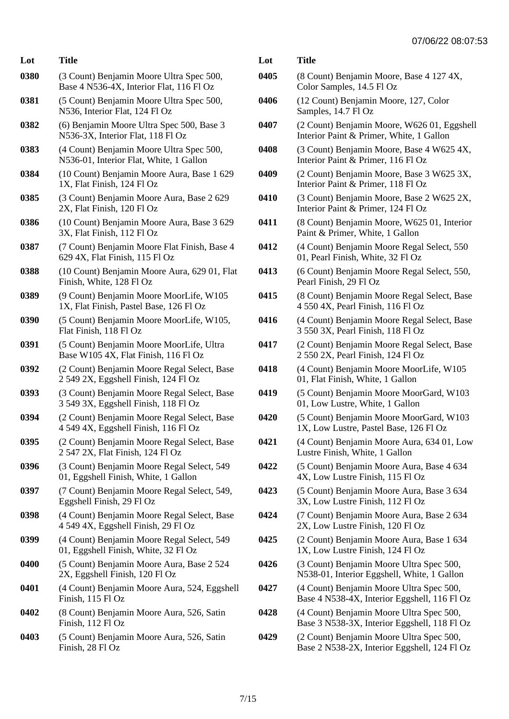| Lot  | <b>Title</b>                                                                         | L                |
|------|--------------------------------------------------------------------------------------|------------------|
| 0380 | (3 Count) Benjamin Moore Ultra Spec 500,<br>Base 4 N536-4X, Interior Flat, 116 Fl Oz | $\boldsymbol{0}$ |
| 0381 | (5 Count) Benjamin Moore Ultra Spec 500,<br>N536, Interior Flat, 124 Fl Oz           | $\boldsymbol{0}$ |
| 0382 | (6) Benjamin Moore Ultra Spec 500, Base 3<br>N536-3X, Interior Flat, 118 Fl Oz       | $\mathbf{0}$     |
| 0383 | (4 Count) Benjamin Moore Ultra Spec 500,<br>N536-01, Interior Flat, White, 1 Gallon  | $\boldsymbol{0}$ |
| 0384 | (10 Count) Benjamin Moore Aura, Base 1 629<br>1X, Flat Finish, 124 Fl Oz             | $\mathbf{0}$     |
| 0385 | (3 Count) Benjamin Moore Aura, Base 2 629<br>2X, Flat Finish, 120 Fl Oz              | $\mathbf{0}$     |
| 0386 | (10 Count) Benjamin Moore Aura, Base 3 629<br>3X, Flat Finish, 112 Fl Oz             | $\mathbf{0}$     |
| 0387 | (7 Count) Benjamin Moore Flat Finish, Base 4<br>629 4X, Flat Finish, 115 Fl Oz       | $\mathbf{0}$     |
| 0388 | (10 Count) Benjamin Moore Aura, 629 01, Flat<br>Finish, White, 128 Fl Oz             | $\mathbf{0}$     |
| 0389 | (9 Count) Benjamin Moore MoorLife, W105<br>1X, Flat Finish, Pastel Base, 126 Fl Oz   | $\mathbf{0}$     |
| 0390 | (5 Count) Benjamin Moore MoorLife, W105,<br>Flat Finish, 118 Fl Oz                   | $\mathbf{0}$     |
| 0391 | (5 Count) Benjamin Moore MoorLife, Ultra<br>Base W105 4X, Flat Finish, 116 Fl Oz     | $\boldsymbol{0}$ |
| 0392 | (2 Count) Benjamin Moore Regal Select, Base<br>2 549 2X, Eggshell Finish, 124 Fl Oz  | $\mathbf{0}$     |
| 0393 | (3 Count) Benjamin Moore Regal Select, Base<br>3 549 3X, Eggshell Finish, 118 Fl Oz  | $\boldsymbol{0}$ |
| 0394 | (2 Count) Benjamin Moore Regal Select, Base<br>4 549 4X, Eggshell Finish, 116 Fl Oz  | $\mathbf{0}$     |
| 0395 | (2 Count) Benjamin Moore Regal Select, Base<br>2 547 2X, Flat Finish, 124 Fl Oz      | $\boldsymbol{0}$ |
| 0396 | (3 Count) Benjamin Moore Regal Select, 549<br>01, Eggshell Finish, White, 1 Gallon   | $\boldsymbol{0}$ |
| 0397 | (7 Count) Benjamin Moore Regal Select, 549,<br>Eggshell Finish, 29 Fl Oz             | $\boldsymbol{0}$ |
| 0398 | (4 Count) Benjamin Moore Regal Select, Base<br>4 549 4X, Eggshell Finish, 29 Fl Oz   | $\boldsymbol{0}$ |
| 0399 | (4 Count) Benjamin Moore Regal Select, 549<br>01, Eggshell Finish, White, 32 Fl Oz   | $\mathbf{0}$     |
| 0400 | (5 Count) Benjamin Moore Aura, Base 2 524<br>2X, Eggshell Finish, 120 Fl Oz          | $\boldsymbol{0}$ |
| 0401 | (4 Count) Benjamin Moore Aura, 524, Eggshell<br>Finish, 115 Fl Oz                    | $\boldsymbol{0}$ |
| 0402 | (8 Count) Benjamin Moore Aura, 526, Satin<br>Finish, 112 Fl Oz                       | $\boldsymbol{0}$ |
| 0403 | (5 Count) Benjamin Moore Aura, 526, Satin<br>Finish, 28 Fl Oz                        | 0                |

| Lot  | Title                                                                                    |
|------|------------------------------------------------------------------------------------------|
| 0405 | (8 Count) Benjamin Moore, Base 4 127 4X,<br>Color Samples, 14.5 Fl Oz                    |
| 0406 | (12 Count) Benjamin Moore, 127, Color<br>Samples, 14.7 Fl Oz                             |
| 0407 | (2 Count) Benjamin Moore, W626 01, Eggshell<br>Interior Paint & Primer, White, 1 Gallon  |
| 0408 | (3 Count) Benjamin Moore, Base 4 W625 4X,<br>Interior Paint & Primer, 116 Fl Oz          |
| 0409 | (2 Count) Benjamin Moore, Base 3 W625 3X,<br>Interior Paint & Primer, 118 Fl Oz          |
| 0410 | (3 Count) Benjamin Moore, Base 2 W625 2X,<br>Interior Paint & Primer, 124 Fl Oz          |
| 0411 | (8 Count) Benjamin Moore, W625 01, Interior<br>Paint & Primer, White, 1 Gallon           |
| 0412 | (4 Count) Benjamin Moore Regal Select, 550<br>01, Pearl Finish, White, 32 Fl Oz          |
| 0413 | (6 Count) Benjamin Moore Regal Select, 550,<br>Pearl Finish, 29 Fl Oz                    |
| 0415 | (8 Count) Benjamin Moore Regal Select, Base<br>4 550 4X, Pearl Finish, 116 Fl Oz         |
| 0416 | (4 Count) Benjamin Moore Regal Select, Base<br>3 550 3X, Pearl Finish, 118 Fl Oz         |
| 0417 | (2 Count) Benjamin Moore Regal Select, Base<br>2 550 2X, Pearl Finish, 124 Fl Oz         |
| 0418 | (4 Count) Benjamin Moore MoorLife, W105<br>01, Flat Finish, White, 1 Gallon              |
| 0419 | (5 Count) Benjamin Moore MoorGard, W103<br>01, Low Lustre, White, 1 Gallon               |
| 0420 | (5 Count) Benjamin Moore MoorGard, W103<br>1X, Low Lustre, Pastel Base, 126 Fl Oz        |
| 0421 | (4 Count) Benjamin Moore Aura, 634 01, Low<br>Lustre Finish, White, 1 Gallon             |
| 0422 | (5 Count) Benjamin Moore Aura, Base 4 634<br>4X, Low Lustre Finish, 115 Fl Oz            |
| 0423 | (5 Count) Benjamin Moore Aura, Base 3 634<br>3X, Low Lustre Finish, 112 Fl Oz            |
| 0424 | (7 Count) Benjamin Moore Aura, Base 2 634<br>2X, Low Lustre Finish, 120 Fl Oz            |
| 0425 | (2 Count) Benjamin Moore Aura, Base 1 634<br>1X, Low Lustre Finish, 124 Fl Oz            |
| 0426 | (3 Count) Benjamin Moore Ultra Spec 500,<br>N538-01, Interior Eggshell, White, 1 Gallon  |
| 0427 | (4 Count) Benjamin Moore Ultra Spec 500,<br>Base 4 N538-4X, Interior Eggshell, 116 Fl Oz |
| 0428 | (4 Count) Benjamin Moore Ultra Spec 500,<br>Base 3 N538-3X, Interior Eggshell, 118 Fl Oz |
| 0429 | (2 Count) Benjamin Moore Ultra Spec 500,<br>Base 2 N538-2X, Interior Eggshell, 124 Fl Oz |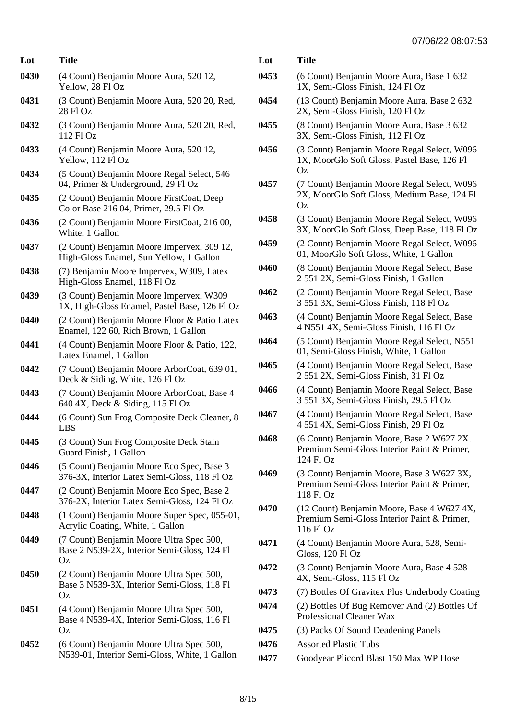| Lot  | <b>Title</b>                                                                                         | L0       |
|------|------------------------------------------------------------------------------------------------------|----------|
| 0430 | (4 Count) Benjamin Moore Aura, 520 12,<br>Yellow, 28 Fl Oz                                           | 04       |
| 0431 | (3 Count) Benjamin Moore Aura, 520 20, Red,<br>28 Fl Oz                                              | 04       |
| 0432 | (3 Count) Benjamin Moore Aura, 520 20, Red,<br>112 Fl Oz                                             | 04       |
| 0433 | (4 Count) Benjamin Moore Aura, 520 12,<br>Yellow, 112 Fl Oz                                          | 04       |
| 0434 | (5 Count) Benjamin Moore Regal Select, 546<br>04, Primer & Underground, 29 Fl Oz                     | 04       |
| 0435 | (2 Count) Benjamin Moore FirstCoat, Deep<br>Color Base 216 04, Primer, 29.5 Fl Oz                    |          |
| 0436 | (2 Count) Benjamin Moore FirstCoat, 216 00,<br>White, 1 Gallon                                       | 04       |
| 0437 | (2 Count) Benjamin Moore Impervex, 309 12,<br>High-Gloss Enamel, Sun Yellow, 1 Gallon                | 04       |
| 0438 | (7) Benjamin Moore Impervex, W309, Latex<br>High-Gloss Enamel, 118 Fl Oz                             | 04       |
| 0439 | (3 Count) Benjamin Moore Impervex, W309<br>1X, High-Gloss Enamel, Pastel Base, 126 Fl Oz             | 04       |
| 0440 | (2 Count) Benjamin Moore Floor & Patio Latex<br>Enamel, 122 60, Rich Brown, 1 Gallon                 | 04       |
| 0441 | (4 Count) Benjamin Moore Floor & Patio, 122,<br>Latex Enamel, 1 Gallon                               | 04       |
| 0442 | (7 Count) Benjamin Moore ArborCoat, 639 01,<br>Deck & Siding, White, 126 Fl Oz                       | 04       |
| 0443 | (7 Count) Benjamin Moore ArborCoat, Base 4<br>640 4X, Deck & Siding, 115 Fl Oz                       | 04       |
| 0444 | (6 Count) Sun Frog Composite Deck Cleaner, 8<br><b>LBS</b>                                           | 04       |
| 0445 | (3 Count) Sun Frog Composite Deck Stain<br>Guard Finish, 1 Gallon                                    | 04       |
| 0446 | (5 Count) Benjamin Moore Eco Spec, Base 3<br>376-3X, Interior Latex Semi-Gloss, 118 Fl Oz            | 04       |
| 0447 | (2 Count) Benjamin Moore Eco Spec, Base 2<br>376-2X, Interior Latex Semi-Gloss, 124 Fl Oz            | 04       |
| 0448 | (1 Count) Benjamin Moore Super Spec, 055-01,<br>Acrylic Coating, White, 1 Gallon                     |          |
| 0449 | (7 Count) Benjamin Moore Ultra Spec 500,<br>Base 2 N539-2X, Interior Semi-Gloss, 124 Fl<br>Oz        | 04<br>04 |
| 0450 | (2 Count) Benjamin Moore Ultra Spec 500,<br>Base 3 N539-3X, Interior Semi-Gloss, 118 Fl<br><b>Oz</b> | 04       |
| 0451 | (4 Count) Benjamin Moore Ultra Spec 500,<br>Base 4 N539-4X, Interior Semi-Gloss, 116 Fl<br>Oz        | 04<br>04 |
| 0452 | (6 Count) Benjamin Moore Ultra Spec 500,<br>N539-01, Interior Semi-Gloss, White, 1 Gallon            | 04<br>04 |

| Lot  | <b>Title</b>                                                                                           |
|------|--------------------------------------------------------------------------------------------------------|
| 0453 | (6 Count) Benjamin Moore Aura, Base 1 632<br>1X, Semi-Gloss Finish, 124 Fl Oz                          |
| 0454 | (13 Count) Benjamin Moore Aura, Base 2 632<br>2X, Semi-Gloss Finish, 120 Fl Oz                         |
| 0455 | (8 Count) Benjamin Moore Aura, Base 3 632<br>3X, Semi-Gloss Finish, 112 Fl Oz                          |
| 0456 | (3 Count) Benjamin Moore Regal Select, W096<br>1X, MoorGlo Soft Gloss, Pastel Base, 126 Fl<br>Oz.      |
| 0457 | (7 Count) Benjamin Moore Regal Select, W096<br>2X, MoorGlo Soft Gloss, Medium Base, 124 Fl<br>Oz       |
| 0458 | (3 Count) Benjamin Moore Regal Select, W096<br>3X, MoorGlo Soft Gloss, Deep Base, 118 Fl Oz            |
| 0459 | (2 Count) Benjamin Moore Regal Select, W096<br>01, MoorGlo Soft Gloss, White, 1 Gallon                 |
| 0460 | (8 Count) Benjamin Moore Regal Select, Base<br>2 551 2X, Semi-Gloss Finish, 1 Gallon                   |
| 0462 | (2 Count) Benjamin Moore Regal Select, Base<br>3 551 3X, Semi-Gloss Finish, 118 Fl Oz                  |
| 0463 | (4 Count) Benjamin Moore Regal Select, Base<br>4 N551 4X, Semi-Gloss Finish, 116 Fl Oz                 |
| 0464 | (5 Count) Benjamin Moore Regal Select, N551<br>01, Semi-Gloss Finish, White, 1 Gallon                  |
| 0465 | (4 Count) Benjamin Moore Regal Select, Base<br>2 551 2X, Semi-Gloss Finish, 31 Fl Oz                   |
| 0466 | (4 Count) Benjamin Moore Regal Select, Base<br>3 551 3X, Semi-Gloss Finish, 29.5 Fl Oz                 |
| 0467 | (4 Count) Benjamin Moore Regal Select, Base<br>4 551 4X, Semi-Gloss Finish, 29 Fl Oz                   |
| 0468 | (6 Count) Benjamin Moore, Base 2 W627 2X.<br>Premium Semi-Gloss Interior Paint & Primer,<br>124 Fl Oz  |
| 0469 | (3 Count) Benjamin Moore, Base 3 W627 3X,<br>Premium Semi-Gloss Interior Paint & Primer,<br>118 Fl Oz  |
| 0470 | (12 Count) Benjamin Moore, Base 4 W627 4X,<br>Premium Semi-Gloss Interior Paint & Primer,<br>116 Fl Oz |
| 0471 | (4 Count) Benjamin Moore Aura, 528, Semi-<br>Gloss, 120 Fl Oz                                          |
| 0472 | (3 Count) Benjamin Moore Aura, Base 4 528<br>4X, Semi-Gloss, 115 Fl Oz                                 |
| 0473 | (7) Bottles Of Gravitex Plus Underbody Coating                                                         |
| 0474 | (2) Bottles Of Bug Remover And (2) Bottles Of<br>Professional Cleaner Wax                              |
| 0475 | (3) Packs Of Sound Deadening Panels                                                                    |
| 0476 | <b>Assorted Plastic Tubs</b>                                                                           |
| 0477 | Goodyear Plicord Blast 150 Max WP Hose                                                                 |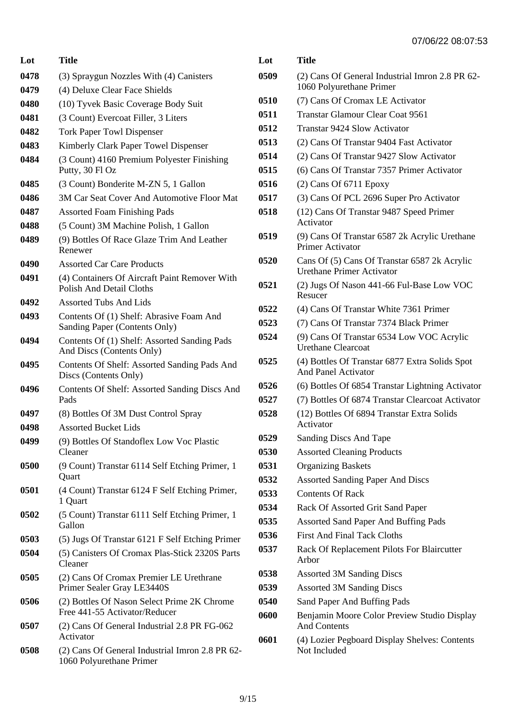| Lot  | Title                                                                            |
|------|----------------------------------------------------------------------------------|
| 0478 | (3) Spraygun Nozzles With (4) Canisters                                          |
| 0479 | (4) Deluxe Clear Face Shields                                                    |
| 0480 | (10) Tyvek Basic Coverage Body Suit                                              |
| 0481 | (3 Count) Evercoat Filler, 3 Liters                                              |
| 0482 | <b>Tork Paper Towl Dispenser</b>                                                 |
| 0483 | Kimberly Clark Paper Towel Dispenser                                             |
| 0484 | (3 Count) 4160 Premium Polyester Finishing<br>Putty, 30 Fl Oz                    |
| 0485 | (3 Count) Bonderite M-ZN 5, 1 Gallon                                             |
| 0486 | 3M Car Seat Cover And Automotive Floor Mat                                       |
| 0487 | <b>Assorted Foam Finishing Pads</b>                                              |
| 0488 | (5 Count) 3M Machine Polish, 1 Gallon                                            |
| 0489 | (9) Bottles Of Race Glaze Trim And Leather<br>Renewer                            |
| 0490 | <b>Assorted Car Care Products</b>                                                |
| 0491 | (4) Containers Of Aircraft Paint Remover With<br><b>Polish And Detail Cloths</b> |
| 0492 | <b>Assorted Tubs And Lids</b>                                                    |
| 0493 | Contents Of (1) Shelf: Abrasive Foam And<br>Sanding Paper (Contents Only)        |
| 0494 | Contents Of (1) Shelf: Assorted Sanding Pads<br>And Discs (Contents Only)        |
| 0495 | Contents Of Shelf: Assorted Sanding Pads And<br>Discs (Contents Only)            |
| 0496 | Contents Of Shelf: Assorted Sanding Discs And<br>Pads                            |
| 0497 | (8) Bottles Of 3M Dust Control Spray                                             |
| 0498 | <b>Assorted Bucket Lids</b>                                                      |
| 0499 | (9) Bottles Of Standoflex Low Voc Plastic<br>Cleaner                             |
| 0500 | (9 Count) Transtar 6114 Self Etching Primer, 1<br>Quart                          |
| 0501 | (4 Count) Transtar 6124 F Self Etching Primer,<br>1 Quart                        |
| 0502 | (5 Count) Transtar 6111 Self Etching Primer, 1<br>Gallon                         |
| 0503 | (5) Jugs Of Transtar 6121 F Self Etching Primer                                  |
| 0504 | (5) Canisters Of Cromax Plas-Stick 2320S Parts<br>Cleaner                        |
| 0505 | (2) Cans Of Cromax Premier LE Urethrane<br>Primer Sealer Gray LE3440S            |
| 0506 | (2) Bottles Of Nason Select Prime 2K Chrome<br>Free 441-55 Activator/Reducer     |
| 0507 | (2) Cans Of General Industrial 2.8 PR FG-062<br>Activator                        |
| 0508 | (2) Cans Of General Industrial Imron 2.8 PR 62-                                  |

1060 Polyurethane Primer

|      | 0170022 UU.UT                                                                    |
|------|----------------------------------------------------------------------------------|
| Lot  | Title                                                                            |
| 0509 | (2) Cans Of General Industrial Imron 2.8 PR 62-<br>1060 Polyurethane Primer      |
| 0510 | (7) Cans Of Cromax LE Activator                                                  |
| 0511 | Transtar Glamour Clear Coat 9561                                                 |
| 0512 | <b>Transtar 9424 Slow Activator</b>                                              |
| 0513 | (2) Cans Of Transtar 9404 Fast Activator                                         |
| 0514 | (2) Cans Of Transtar 9427 Slow Activator                                         |
| 0515 | (6) Cans Of Transtar 7357 Primer Activator                                       |
| 0516 | $(2)$ Cans Of 6711 Epoxy                                                         |
| 0517 | (3) Cans Of PCL 2696 Super Pro Activator                                         |
| 0518 | (12) Cans Of Transtar 9487 Speed Primer<br>Activator                             |
| 0519 | (9) Cans Of Transtar 6587 2k Acrylic Urethane<br>Primer Activator                |
| 0520 | Cans Of (5) Cans Of Transtar 6587 2k Acrylic<br><b>Urethane Primer Activator</b> |
| 0521 | (2) Jugs Of Nason 441-66 Ful-Base Low VOC<br>Resucer                             |
| 0522 | (4) Cans Of Transtar White 7361 Primer                                           |
| 0523 | (7) Cans Of Transtar 7374 Black Primer                                           |
| 0524 | (9) Cans Of Transtar 6534 Low VOC Acrylic<br><b>Urethane Clearcoat</b>           |
| 0525 | (4) Bottles Of Transtar 6877 Extra Solids Spot<br><b>And Panel Activator</b>     |
| 0526 | (6) Bottles Of 6854 Transtar Lightning Activator                                 |
| 0527 | (7) Bottles Of 6874 Transtar Clearcoat Activator                                 |
| 0528 | (12) Bottles Of 6894 Transtar Extra Solids<br>Activator                          |
| 0529 | Sanding Discs And Tape                                                           |
| 0530 | <b>Assorted Cleaning Products</b>                                                |
| 0531 | <b>Organizing Baskets</b>                                                        |
| 0532 | <b>Assorted Sanding Paper And Discs</b>                                          |
| 0533 | <b>Contents Of Rack</b>                                                          |
| 0534 | Rack Of Assorted Grit Sand Paper                                                 |
| 0535 | <b>Assorted Sand Paper And Buffing Pads</b>                                      |
| 0536 | <b>First And Final Tack Cloths</b>                                               |
| 0537 | Rack Of Replacement Pilots For Blaircutter<br>Arbor                              |
| 0538 | <b>Assorted 3M Sanding Discs</b>                                                 |
| 0539 | <b>Assorted 3M Sanding Discs</b>                                                 |
| 0540 | Sand Paper And Buffing Pads                                                      |
| 0600 | Benjamin Moore Color Preview Studio Display<br><b>And Contents</b>               |
| 0601 | (4) Lozier Pegboard Display Shelves: Contents<br>Not Included                    |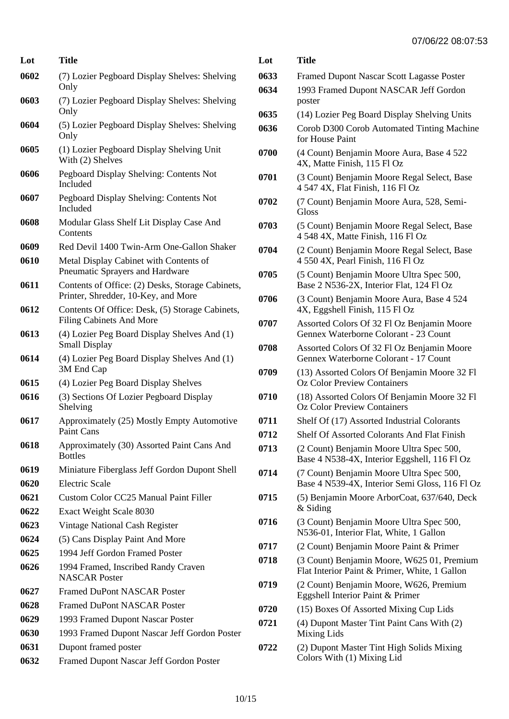| Lot  | <b>Title</b>                                                                            |
|------|-----------------------------------------------------------------------------------------|
| 0602 | (7) Lozier Pegboard Display Shelves: Shelving<br>Only                                   |
| 0603 | (7) Lozier Pegboard Display Shelves: Shelving<br>Only                                   |
| 0604 | (5) Lozier Pegboard Display Shelves: Shelving<br>Only                                   |
| 0605 | (1) Lozier Pegboard Display Shelving Unit<br>With (2) Shelves                           |
| 0606 | Pegboard Display Shelving: Contents Not<br>Included                                     |
| 0607 | Pegboard Display Shelving: Contents Not<br>Included                                     |
| 0608 | Modular Glass Shelf Lit Display Case And<br>Contents                                    |
| 0609 | Red Devil 1400 Twin-Arm One-Gallon Shaker                                               |
| 0610 | Metal Display Cabinet with Contents of<br>Pneumatic Sprayers and Hardware               |
| 0611 | Contents of Office: (2) Desks, Storage Cabinets,<br>Printer, Shredder, 10-Key, and More |
| 0612 | Contents Of Office: Desk, (5) Storage Cabinets,<br><b>Filing Cabinets And More</b>      |
| 0613 | (4) Lozier Peg Board Display Shelves And (1)<br><b>Small Display</b>                    |
| 0614 | (4) Lozier Peg Board Display Shelves And (1)<br>3M End Cap                              |
| 0615 | (4) Lozier Peg Board Display Shelves                                                    |
| 0616 | (3) Sections Of Lozier Pegboard Display<br>Shelving                                     |
| 0617 | Approximately (25) Mostly Empty Automotive<br>Paint Cans                                |
| 0618 | Approximately (30) Assorted Paint Cans And<br><b>Bottles</b>                            |
| 0619 | Miniature Fiberglass Jeff Gordon Dupont Shell                                           |
| 0620 | <b>Electric Scale</b>                                                                   |
| 0621 | Custom Color CC25 Manual Paint Filler                                                   |
| 0622 | Exact Weight Scale 8030                                                                 |
| 0623 | Vintage National Cash Register                                                          |
| 0624 | (5) Cans Display Paint And More                                                         |
| 0625 | 1994 Jeff Gordon Framed Poster                                                          |
| 0626 | 1994 Framed, Inscribed Randy Craven<br><b>NASCAR Poster</b>                             |
| 0627 | <b>Framed DuPont NASCAR Poster</b>                                                      |
| 0628 | <b>Framed DuPont NASCAR Poster</b>                                                      |
| 0629 | 1993 Framed Dupont Nascar Poster                                                        |
| 0630 | 1993 Framed Dupont Nascar Jeff Gordon Poster                                            |
| 0631 | Dupont framed poster                                                                    |
| 0632 | Framed Dupont Nascar Jeff Gordon Poster                                                 |

| Lot  | <b>Title</b>                                                                                |
|------|---------------------------------------------------------------------------------------------|
| 0633 | <b>Framed Dupont Nascar Scott Lagasse Poster</b>                                            |
| 0634 | 1993 Framed Dupont NASCAR Jeff Gordon<br>poster                                             |
| 0635 | (14) Lozier Peg Board Display Shelving Units                                                |
| 0636 | Corob D300 Corob Automated Tinting Machine<br>for House Paint                               |
| 0700 | (4 Count) Benjamin Moore Aura, Base 4 522<br>4X, Matte Finish, 115 Fl Oz                    |
| 0701 | (3 Count) Benjamin Moore Regal Select, Base<br>4 547 4X, Flat Finish, 116 Fl Oz             |
| 0702 | (7 Count) Benjamin Moore Aura, 528, Semi-<br>Gloss                                          |
| 0703 | (5 Count) Benjamin Moore Regal Select, Base<br>4 548 4X, Matte Finish, 116 Fl Oz            |
| 0704 | (2 Count) Benjamin Moore Regal Select, Base<br>4 550 4X, Pearl Finish, 116 Fl Oz            |
| 0705 | (5 Count) Benjamin Moore Ultra Spec 500,<br>Base 2 N536-2X, Interior Flat, 124 Fl Oz        |
| 0706 | (3 Count) Benjamin Moore Aura, Base 4 524<br>4X, Eggshell Finish, 115 Fl Oz                 |
| 0707 | Assorted Colors Of 32 Fl Oz Benjamin Moore<br>Gennex Waterborne Colorant - 23 Count         |
| 0708 | Assorted Colors Of 32 Fl Oz Benjamin Moore<br>Gennex Waterborne Colorant - 17 Count         |
| 0709 | (13) Assorted Colors Of Benjamin Moore 32 Fl<br><b>Oz Color Preview Containers</b>          |
| 0710 | (18) Assorted Colors Of Benjamin Moore 32 Fl<br><b>Oz Color Preview Containers</b>          |
| 0711 | Shelf Of (17) Assorted Industrial Colorants                                                 |
| 0712 | Shelf Of Assorted Colorants And Flat Finish                                                 |
| 0713 | (2 Count) Benjamin Moore Ultra Spec 500,<br>Base 4 N538-4X, Interior Eggshell, 116 Fl Oz    |
| 0714 | (7 Count) Benjamin Moore Ultra Spec 500,<br>Base 4 N539-4X, Interior Semi Gloss, 116 Fl Oz  |
| 0715 | (5) Benjamin Moore ArborCoat, 637/640, Deck<br>$&$ Siding                                   |
| 0716 | (3 Count) Benjamin Moore Ultra Spec 500,<br>N536-01, Interior Flat, White, 1 Gallon         |
| 0717 | (2 Count) Benjamin Moore Paint & Primer                                                     |
| 0718 | (3 Count) Benjamin Moore, W625 01, Premium<br>Flat Interior Paint & Primer, White, 1 Gallon |
| 0719 | (2 Count) Benjamin Moore, W626, Premium<br>Eggshell Interior Paint & Primer                 |
| 0720 | (15) Boxes Of Assorted Mixing Cup Lids                                                      |
| 0721 | (4) Dupont Master Tint Paint Cans With (2)<br>Mixing Lids                                   |
| 0722 | (2) Dupont Master Tint High Solids Mixing<br>Colors With (1) Mixing Lid                     |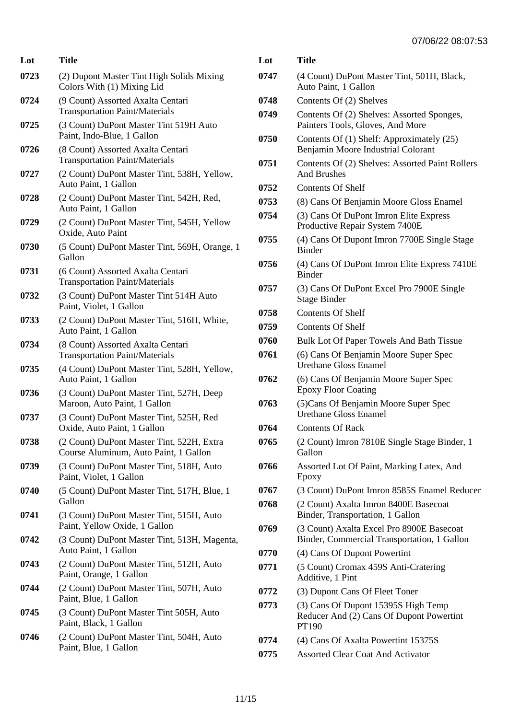| Lot  | Title                                                                              |
|------|------------------------------------------------------------------------------------|
| 0723 | (2) Dupont Master Tint High Solids Mixing<br>Colors With (1) Mixing Lid            |
| 0724 | (9 Count) Assorted Axalta Centari<br><b>Transportation Paint/Materials</b>         |
| 0725 | (3 Count) DuPont Master Tint 519H Auto<br>Paint, Indo-Blue, 1 Gallon               |
| 0726 | (8 Count) Assorted Axalta Centari<br><b>Transportation Paint/Materials</b>         |
| 0727 | (2 Count) DuPont Master Tint, 538H, Yellow,<br>Auto Paint, 1 Gallon                |
| 0728 | (2 Count) DuPont Master Tint, 542H, Red,<br>Auto Paint, 1 Gallon                   |
| 0729 | (2 Count) DuPont Master Tint, 545H, Yellow<br>Oxide, Auto Paint                    |
| 0730 | (5 Count) DuPont Master Tint, 569H, Orange, 1<br>Gallon                            |
| 0731 | (6 Count) Assorted Axalta Centari<br><b>Transportation Paint/Materials</b>         |
| 0732 | (3 Count) DuPont Master Tint 514H Auto<br>Paint, Violet, 1 Gallon                  |
| 0733 | (2 Count) DuPont Master Tint, 516H, White,<br>Auto Paint, 1 Gallon                 |
| 0734 | (8 Count) Assorted Axalta Centari<br><b>Transportation Paint/Materials</b>         |
| 0735 | (4 Count) DuPont Master Tint, 528H, Yellow,<br>Auto Paint, 1 Gallon                |
| 0736 | (3 Count) DuPont Master Tint, 527H, Deep<br>Maroon, Auto Paint, 1 Gallon           |
| 0737 | (3 Count) DuPont Master Tint, 525H, Red<br>Oxide, Auto Paint, 1 Gallon             |
| 0738 | (2 Count) DuPont Master Tint, 522H, Extra<br>Course Aluminum, Auto Paint, 1 Gallon |
| 0739 | (3 Count) DuPont Master Tint, 518H, Auto<br>Paint, Violet, 1 Gallon                |
| 0740 | (5 Count) DuPont Master Tint, 517H, Blue, 1<br>Gallon                              |
| 0741 | (3 Count) DuPont Master Tint, 515H, Auto<br>Paint, Yellow Oxide, 1 Gallon          |
| 0742 | (3 Count) DuPont Master Tint, 513H, Magenta,<br>Auto Paint, 1 Gallon               |
| 0743 | (2 Count) DuPont Master Tint, 512H, Auto<br>Paint, Orange, 1 Gallon                |
| 0744 | (2 Count) DuPont Master Tint, 507H, Auto<br>Paint, Blue, 1 Gallon                  |
| 0745 | (3 Count) DuPont Master Tint 505H, Auto<br>Paint, Black, 1 Gallon                  |
| 0746 | (2 Count) DuPont Master Tint, 504H, Auto<br>Paint, Blue, 1 Gallon                  |

| Lot  | Title                                                                                    |
|------|------------------------------------------------------------------------------------------|
| 0747 | (4 Count) DuPont Master Tint, 501H, Black,<br>Auto Paint, 1 Gallon                       |
| 0748 | Contents Of (2) Shelves                                                                  |
| 0749 | Contents Of (2) Shelves: Assorted Sponges,<br>Painters Tools, Gloves, And More           |
| 0750 | Contents Of (1) Shelf: Approximately (25)<br>Benjamin Moore Industrial Colorant          |
| 0751 | Contents Of (2) Shelves: Assorted Paint Rollers<br><b>And Brushes</b>                    |
| 0752 | Contents Of Shelf                                                                        |
| 0753 | (8) Cans Of Benjamin Moore Gloss Enamel                                                  |
| 0754 | (3) Cans Of DuPont Imron Elite Express<br>Productive Repair System 7400E                 |
| 0755 | (4) Cans Of Dupont Imron 7700E Single Stage<br><b>Binder</b>                             |
| 0756 | (4) Cans Of DuPont Imron Elite Express 7410E<br><b>Binder</b>                            |
| 0757 | (3) Cans Of DuPont Excel Pro 7900E Single<br><b>Stage Binder</b>                         |
| 0758 | <b>Contents Of Shelf</b>                                                                 |
| 0759 | Contents Of Shelf                                                                        |
| 0760 | Bulk Lot Of Paper Towels And Bath Tissue                                                 |
| 0761 | (6) Cans Of Benjamin Moore Super Spec<br>Urethane Gloss Enamel                           |
| 0762 | (6) Cans Of Benjamin Moore Super Spec<br><b>Epoxy Floor Coating</b>                      |
| 0763 | (5) Cans Of Benjamin Moore Super Spec<br><b>Urethane Gloss Enamel</b>                    |
| 0764 | <b>Contents Of Rack</b>                                                                  |
| 0765 | (2 Count) Imron 7810E Single Stage Binder, 1<br>Gallon                                   |
| 0766 | Assorted Lot Of Paint, Marking Latex, And<br>Epoxy                                       |
| 0767 | (3 Count) DuPont Imron 8585S Enamel Reducer                                              |
| 0768 | (2 Count) Axalta Imron 8400E Basecoat<br>Binder, Transportation, 1 Gallon                |
| 0769 | (3 Count) Axalta Excel Pro 8900E Basecoat<br>Binder, Commercial Transportation, 1 Gallon |
| 0770 | (4) Cans Of Dupont Powertint                                                             |
| 0771 | (5 Count) Cromax 459S Anti-Cratering<br>Additive, 1 Pint                                 |
| 0772 | (3) Dupont Cans Of Fleet Toner                                                           |
| 0773 | (3) Cans Of Dupont 15395S High Temp<br>Reducer And (2) Cans Of Dupont Powertint<br>PT190 |
| 0774 | (4) Cans Of Axalta Powertint 15375S                                                      |
| 0775 | <b>Assorted Clear Coat And Activator</b>                                                 |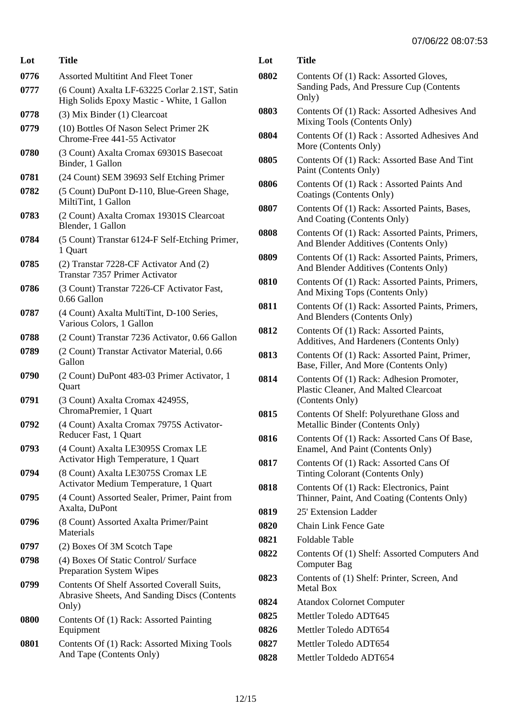| Lot  | Title                                                                                               |
|------|-----------------------------------------------------------------------------------------------------|
| 0776 | <b>Assorted Multitint And Fleet Toner</b>                                                           |
| 0777 | (6 Count) Axalta LF-63225 Corlar 2.1ST, Satin<br>High Solids Epoxy Mastic - White, 1 Gallon         |
| 0778 | (3) Mix Binder (1) Clearcoat                                                                        |
| 0779 | (10) Bottles Of Nason Select Primer 2K<br>Chrome-Free 441-55 Activator                              |
| 0780 | (3 Count) Axalta Cromax 69301S Basecoat<br>Binder, 1 Gallon                                         |
| 0781 | (24 Count) SEM 39693 Self Etching Primer                                                            |
| 0782 | (5 Count) DuPont D-110, Blue-Green Shage,<br>MiltiTint, 1 Gallon                                    |
| 0783 | (2 Count) Axalta Cromax 19301S Clearcoat<br>Blender, 1 Gallon                                       |
| 0784 | (5 Count) Transtar 6124-F Self-Etching Primer,<br>1 Quart                                           |
| 0785 | (2) Transtar 7228-CF Activator And (2)<br>Transtar 7357 Primer Activator                            |
| 0786 | (3 Count) Transtar 7226-CF Activator Fast,<br>$0.66$ Gallon                                         |
| 0787 | (4 Count) Axalta MultiTint, D-100 Series,<br>Various Colors, 1 Gallon                               |
| 0788 | (2 Count) Transtar 7236 Activator, 0.66 Gallon                                                      |
| 0789 | (2 Count) Transtar Activator Material, 0.66<br>Gallon                                               |
| 0790 | (2 Count) DuPont 483-03 Primer Activator, 1<br>Quart                                                |
| 0791 | (3 Count) Axalta Cromax 42495S,<br>ChromaPremier, 1 Quart                                           |
| 0792 | (4 Count) Axalta Cromax 7975S Activator-<br>Reducer Fast, 1 Quart                                   |
| 0793 | (4 Count) Axalta LE3095S Cromax LE<br>Activator High Temperature, 1 Quart                           |
| 0794 | (8 Count) Axalta LE3075S Cromax LE<br>Activator Medium Temperature, 1 Quart                         |
| 0795 | (4 Count) Assorted Sealer, Primer, Paint from<br>Axalta, DuPont                                     |
| 0796 | (8 Count) Assorted Axalta Primer/Paint<br>Materials                                                 |
| 0797 | (2) Boxes Of 3M Scotch Tape                                                                         |
| 0798 | (4) Boxes Of Static Control/Surface<br><b>Preparation System Wipes</b>                              |
| 0799 | Contents Of Shelf Assorted Coverall Suits,<br>Abrasive Sheets, And Sanding Discs (Contents<br>Only) |
| 0800 | Contents Of (1) Rack: Assorted Painting<br>Equipment                                                |
| 0801 | Contents Of (1) Rack: Assorted Mixing Tools<br>And Tape (Contents Only)                             |

| Lot  | Title                                                                                                |
|------|------------------------------------------------------------------------------------------------------|
| 0802 | Contents Of (1) Rack: Assorted Gloves,                                                               |
|      | Sanding Pads, And Pressure Cup (Contents<br>Only)                                                    |
| 0803 | Contents Of (1) Rack: Assorted Adhesives And<br>Mixing Tools (Contents Only)                         |
| 0804 | Contents Of (1) Rack: Assorted Adhesives And<br>More (Contents Only)                                 |
| 0805 | Contents Of (1) Rack: Assorted Base And Tint<br>Paint (Contents Only)                                |
| 0806 | Contents Of (1) Rack: Assorted Paints And<br>Coatings (Contents Only)                                |
| 0807 | Contents Of (1) Rack: Assorted Paints, Bases,<br>And Coating (Contents Only)                         |
| 0808 | Contents Of (1) Rack: Assorted Paints, Primers,<br>And Blender Additives (Contents Only)             |
| 0809 | Contents Of (1) Rack: Assorted Paints, Primers,<br>And Blender Additives (Contents Only)             |
| 0810 | Contents Of (1) Rack: Assorted Paints, Primers,<br>And Mixing Tops (Contents Only)                   |
| 0811 | Contents Of (1) Rack: Assorted Paints, Primers,<br>And Blenders (Contents Only)                      |
| 0812 | Contents Of (1) Rack: Assorted Paints,<br>Additives, And Hardeners (Contents Only)                   |
| 0813 | Contents Of (1) Rack: Assorted Paint, Primer,<br>Base, Filler, And More (Contents Only)              |
| 0814 | Contents Of (1) Rack: Adhesion Promoter,<br>Plastic Cleaner, And Malted Clearcoat<br>(Contents Only) |
| 0815 | Contents Of Shelf: Polyurethane Gloss and<br>Metallic Binder (Contents Only)                         |
| 0816 | Contents Of (1) Rack: Assorted Cans Of Base,<br>Enamel, And Paint (Contents Only)                    |
| 0817 | Contents Of (1) Rack: Assorted Cans Of<br>Tinting Colorant (Contents Only)                           |
| 0818 | Contents Of (1) Rack: Electronics, Paint<br>Thinner, Paint, And Coating (Contents Only)              |
| 0819 | 25' Extension Ladder                                                                                 |
| 0820 | <b>Chain Link Fence Gate</b>                                                                         |
| 0821 | Foldable Table                                                                                       |
| 0822 | Contents Of (1) Shelf: Assorted Computers And<br><b>Computer Bag</b>                                 |
| 0823 | Contents of (1) Shelf: Printer, Screen, And<br><b>Metal Box</b>                                      |
| 0824 | <b>Atandox Colornet Computer</b>                                                                     |
| 0825 | Mettler Toledo ADT645                                                                                |
| 0826 | Mettler Toledo ADT654                                                                                |
| 0827 | Mettler Toledo ADT654                                                                                |
| 0828 | Mettler Toldedo ADT654                                                                               |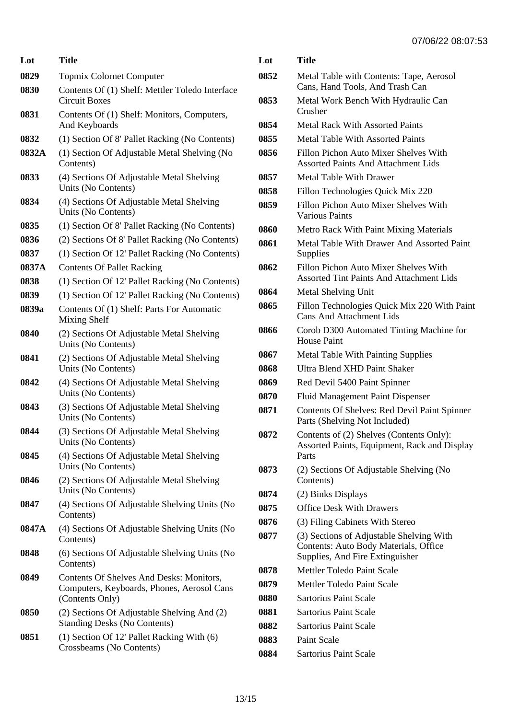| Lot   | <b>Title</b>                                                                                              | <b>L</b>       |
|-------|-----------------------------------------------------------------------------------------------------------|----------------|
| 0829  | <b>Topmix Colornet Computer</b>                                                                           | 08             |
| 0830  | Contents Of (1) Shelf: Mettler Toledo Interface<br><b>Circuit Boxes</b>                                   | 08             |
| 0831  | Contents Of (1) Shelf: Monitors, Computers,<br>And Keyboards                                              | 08             |
| 0832  | (1) Section Of 8' Pallet Racking (No Contents)                                                            | 08             |
| 0832A | (1) Section Of Adjustable Metal Shelving (No<br>Contents)                                                 | 08             |
| 0833  | (4) Sections Of Adjustable Metal Shelving<br>Units (No Contents)                                          | 08<br>08       |
| 0834  | (4) Sections Of Adjustable Metal Shelving<br>Units (No Contents)                                          | 08             |
| 0835  | (1) Section Of 8' Pallet Racking (No Contents)                                                            | 08             |
| 0836  | (2) Sections Of 8' Pallet Racking (No Contents)                                                           | 08             |
| 0837  | (1) Section Of 12' Pallet Racking (No Contents)                                                           |                |
| 0837A | <b>Contents Of Pallet Racking</b>                                                                         | 08             |
| 0838  | (1) Section Of 12' Pallet Racking (No Contents)                                                           |                |
| 0839  | (1) Section Of 12' Pallet Racking (No Contents)                                                           | 08             |
| 0839a | Contents Of (1) Shelf: Parts For Automatic<br>Mixing Shelf                                                | 08             |
| 0840  | (2) Sections Of Adjustable Metal Shelving<br>Units (No Contents)                                          | 08             |
| 0841  | (2) Sections Of Adjustable Metal Shelving<br>Units (No Contents)                                          | 08<br>08       |
| 0842  | (4) Sections Of Adjustable Metal Shelving<br>Units (No Contents)                                          | 08<br>08       |
| 0843  | (3) Sections Of Adjustable Metal Shelving<br>Units (No Contents)                                          | 08             |
| 0844  | (3) Sections Of Adjustable Metal Shelving<br>Units (No Contents)                                          | 08             |
| 0845  | (4) Sections Of Adjustable Metal Shelving<br>Units (No Contents)                                          | 08             |
| 0846  | (2) Sections Of Adjustable Metal Shelving<br>Units (No Contents)                                          | 08             |
| 0847  | (4) Sections Of Adjustable Shelving Units (No<br>Contents)                                                | 08<br>08       |
| 0847A | (4) Sections Of Adjustable Shelving Units (No<br>Contents)                                                | 08             |
| 0848  | (6) Sections Of Adjustable Shelving Units (No<br>Contents)                                                |                |
| 0849  | Contents Of Shelves And Desks: Monitors,<br>Computers, Keyboards, Phones, Aerosol Cans<br>(Contents Only) | 08<br>08<br>08 |
| 0850  | (2) Sections Of Adjustable Shelving And (2)<br><b>Standing Desks (No Contents)</b>                        | 08<br>08       |
| 0851  | (1) Section Of 12' Pallet Racking With (6)<br>Crossbeams (No Contents)                                    | 08<br>ሰሰ       |

| Lot  | Title                                                                                                                |
|------|----------------------------------------------------------------------------------------------------------------------|
| 0852 | Metal Table with Contents: Tape, Aerosol<br>Cans, Hand Tools, And Trash Can                                          |
| 0853 | Metal Work Bench With Hydraulic Can<br>Crusher                                                                       |
| 0854 | <b>Metal Rack With Assorted Paints</b>                                                                               |
| 0855 | <b>Metal Table With Assorted Paints</b>                                                                              |
| 0856 | Fillon Pichon Auto Mixer Shelves With<br><b>Assorted Paints And Attachment Lids</b>                                  |
| 0857 | <b>Metal Table With Drawer</b>                                                                                       |
| 0858 | Fillon Technologies Quick Mix 220                                                                                    |
| 0859 | Fillon Pichon Auto Mixer Shelves With<br><b>Various Paints</b>                                                       |
| 0860 | <b>Metro Rack With Paint Mixing Materials</b>                                                                        |
| 0861 | Metal Table With Drawer And Assorted Paint<br>Supplies                                                               |
| 0862 | Fillon Pichon Auto Mixer Shelves With<br><b>Assorted Tint Paints And Attachment Lids</b>                             |
| 0864 | Metal Shelving Unit                                                                                                  |
| 0865 | Fillon Technologies Quick Mix 220 With Paint<br><b>Cans And Attachment Lids</b>                                      |
| 0866 | Corob D300 Automated Tinting Machine for<br><b>House Paint</b>                                                       |
| 0867 | <b>Metal Table With Painting Supplies</b>                                                                            |
| 0868 | Ultra Blend XHD Paint Shaker                                                                                         |
| 0869 | Red Devil 5400 Paint Spinner                                                                                         |
| 0870 | <b>Fluid Management Paint Dispenser</b>                                                                              |
| 0871 | Contents Of Shelves: Red Devil Paint Spinner<br>Parts (Shelving Not Included)                                        |
| 0872 | Contents of (2) Shelves (Contents Only):<br>Assorted Paints, Equipment, Rack and Display<br>Parts                    |
| 0873 | (2) Sections Of Adjustable Shelving (No<br>Contents)                                                                 |
| 0874 | (2) Binks Displays                                                                                                   |
| 0875 | <b>Office Desk With Drawers</b>                                                                                      |
| 0876 | (3) Filing Cabinets With Stereo                                                                                      |
| 0877 | (3) Sections of Adjustable Shelving With<br>Contents: Auto Body Materials, Office<br>Supplies, And Fire Extinguisher |
| 0878 | Mettler Toledo Paint Scale                                                                                           |
| 0879 | Mettler Toledo Paint Scale                                                                                           |
| 0880 | <b>Sartorius Paint Scale</b>                                                                                         |
| 0881 | <b>Sartorius Paint Scale</b>                                                                                         |
| 0882 | <b>Sartorius Paint Scale</b>                                                                                         |
| 0883 | <b>Paint Scale</b>                                                                                                   |
| 0884 | Sartorius Paint Scale                                                                                                |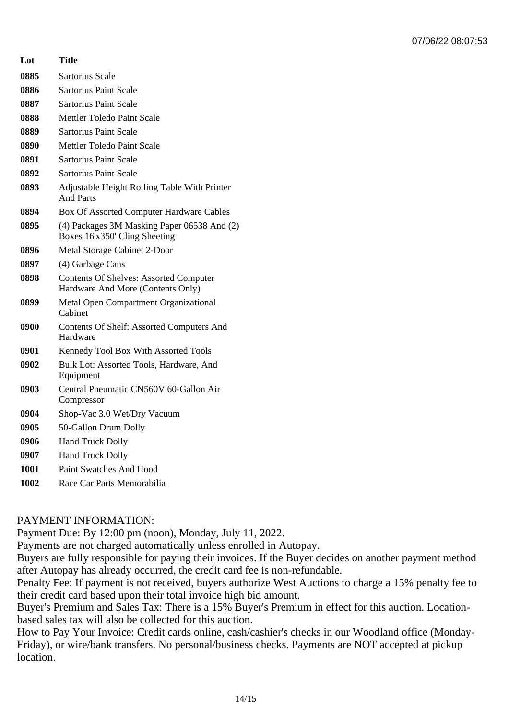| Lot  | Title                                                                              |
|------|------------------------------------------------------------------------------------|
| 0885 | Sartorius Scale                                                                    |
| 0886 | <b>Sartorius Paint Scale</b>                                                       |
| 0887 | <b>Sartorius Paint Scale</b>                                                       |
| 0888 | Mettler Toledo Paint Scale                                                         |
| 0889 | <b>Sartorius Paint Scale</b>                                                       |
| 0890 | Mettler Toledo Paint Scale                                                         |
| 0891 | <b>Sartorius Paint Scale</b>                                                       |
| 0892 | <b>Sartorius Paint Scale</b>                                                       |
| 0893 | Adjustable Height Rolling Table With Printer<br><b>And Parts</b>                   |
| 0894 | Box Of Assorted Computer Hardware Cables                                           |
| 0895 | (4) Packages 3M Masking Paper 06538 And (2)<br>Boxes 16'x350' Cling Sheeting       |
| 0896 | Metal Storage Cabinet 2-Door                                                       |
| 0897 | (4) Garbage Cans                                                                   |
| 0898 | <b>Contents Of Shelves: Assorted Computer</b><br>Hardware And More (Contents Only) |
| 0899 | Metal Open Compartment Organizational<br>Cabinet                                   |
| 0900 | Contents Of Shelf: Assorted Computers And<br>Hardware                              |
| 0901 | Kennedy Tool Box With Assorted Tools                                               |
| 0902 | Bulk Lot: Assorted Tools, Hardware, And<br>Equipment                               |
| 0903 | Central Pneumatic CN560V 60-Gallon Air<br>Compressor                               |
| 0904 | Shop-Vac 3.0 Wet/Dry Vacuum                                                        |
| 0905 | 50-Gallon Drum Dolly                                                               |
| 0906 | <b>Hand Truck Dolly</b>                                                            |
| 0907 | <b>Hand Truck Dolly</b>                                                            |
| 1001 | <b>Paint Swatches And Hood</b>                                                     |
| 1002 | Race Car Parts Memorabilia                                                         |

## PAYMENT INFORMATION:

Payment Due: By 12:00 pm (noon), Monday, July 11, 2022.

Payments are not charged automatically unless enrolled in Autopay.

Buyers are fully responsible for paying their invoices. If the Buyer decides on another payment method after Autopay has already occurred, the credit card fee is non-refundable.

Penalty Fee: If payment is not received, buyers authorize West Auctions to charge a 15% penalty fee to their credit card based upon their total invoice high bid amount.

Buyer's Premium and Sales Tax: There is a 15% Buyer's Premium in effect for this auction. Locationbased sales tax will also be collected for this auction.

How to Pay Your Invoice: Credit cards online, cash/cashier's checks in our Woodland office (Monday-Friday), or wire/bank transfers. No personal/business checks. Payments are NOT accepted at pickup location.